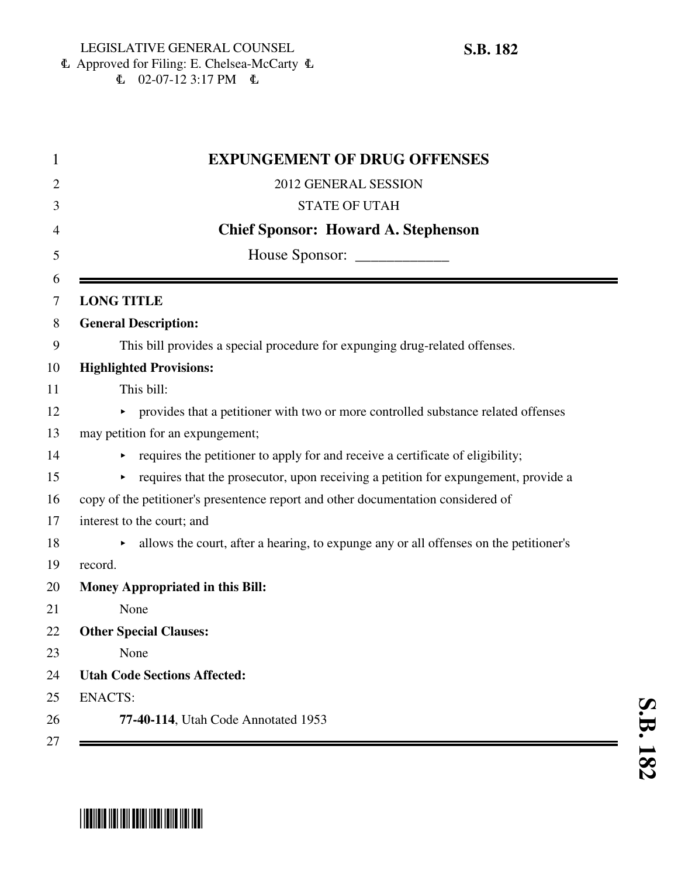6 Approved for Filing: E. Chelsea-McCarty 6  $\mathbb{C}$  02-07-12 3:17 PM  $\mathbb{C}$ 

|                   | <b>EXPUNGEMENT OF DRUG OFFENSES</b>                                                   |
|-------------------|---------------------------------------------------------------------------------------|
|                   | 2012 GENERAL SESSION                                                                  |
|                   | <b>STATE OF UTAH</b>                                                                  |
|                   | <b>Chief Sponsor: Howard A. Stephenson</b>                                            |
|                   |                                                                                       |
| <b>LONG TITLE</b> |                                                                                       |
|                   | <b>General Description:</b>                                                           |
|                   | This bill provides a special procedure for expunging drug-related offenses.           |
|                   | <b>Highlighted Provisions:</b>                                                        |
|                   | This bill:                                                                            |
|                   | • provides that a petitioner with two or more controlled substance related offenses   |
|                   | may petition for an expungement;                                                      |
|                   | requires the petitioner to apply for and receive a certificate of eligibility;        |
|                   | requires that the prosecutor, upon receiving a petition for expungement, provide a    |
|                   | copy of the petitioner's presentence report and other documentation considered of     |
|                   | interest to the court; and                                                            |
|                   | allows the court, after a hearing, to expunge any or all offenses on the petitioner's |
| record.           |                                                                                       |
|                   | Money Appropriated in this Bill:                                                      |
|                   | None                                                                                  |
|                   | <b>Other Special Clauses:</b>                                                         |
|                   | None                                                                                  |
|                   | <b>Utah Code Sections Affected:</b>                                                   |
| <b>ENACTS:</b>    |                                                                                       |
|                   | 77-40-114, Utah Code Annotated 1953                                                   |

## \* SB01818 1101 1011 00101 11011 1101 1001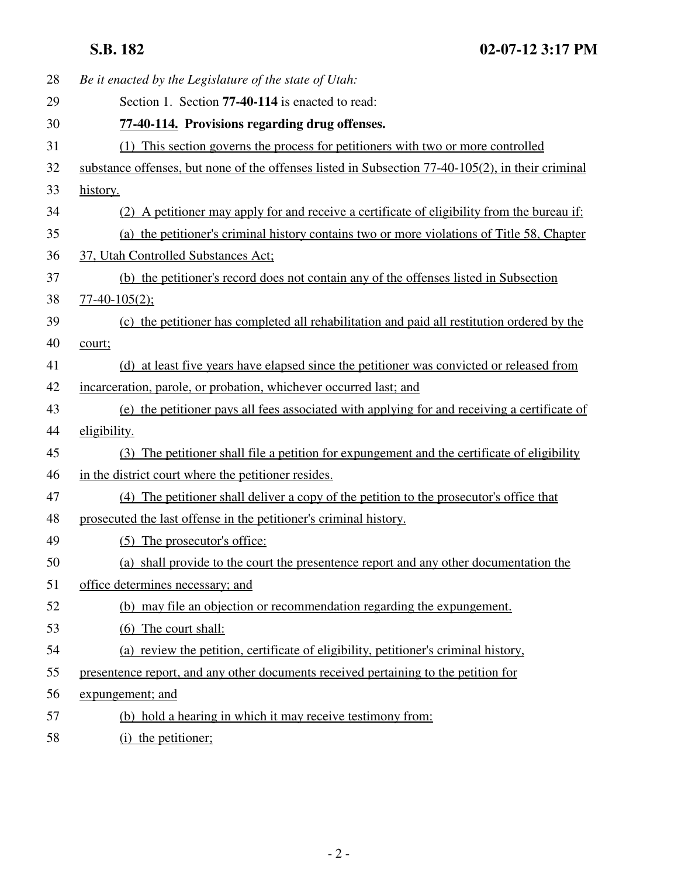| 28 | Be it enacted by the Legislature of the state of Utah:                                            |
|----|---------------------------------------------------------------------------------------------------|
| 29 | Section 1. Section 77-40-114 is enacted to read:                                                  |
| 30 | 77-40-114. Provisions regarding drug offenses.                                                    |
| 31 | (1) This section governs the process for petitioners with two or more controlled                  |
| 32 | substance offenses, but none of the offenses listed in Subsection 77-40-105(2), in their criminal |
| 33 | history.                                                                                          |
| 34 | (2) A petitioner may apply for and receive a certificate of eligibility from the bureau if:       |
| 35 | (a) the petitioner's criminal history contains two or more violations of Title 58, Chapter        |
| 36 | 37, Utah Controlled Substances Act;                                                               |
| 37 | (b) the petitioner's record does not contain any of the offenses listed in Subsection             |
| 38 | $77-40-105(2);$                                                                                   |
| 39 | (c) the petitioner has completed all rehabilitation and paid all restitution ordered by the       |
| 40 | court;                                                                                            |
| 41 | (d) at least five years have elapsed since the petitioner was convicted or released from          |
| 42 | incarceration, parole, or probation, whichever occurred last; and                                 |
| 43 | (e) the petitioner pays all fees associated with applying for and receiving a certificate of      |
| 44 | eligibility.                                                                                      |
| 45 | (3) The petitioner shall file a petition for expungement and the certificate of eligibility       |
| 46 | in the district court where the petitioner resides.                                               |
| 47 | (4) The petitioner shall deliver a copy of the petition to the prosecutor's office that           |
| 48 | prosecuted the last offense in the petitioner's criminal history.                                 |
| 49 | (5) The prosecutor's office:                                                                      |
| 50 | (a) shall provide to the court the presentence report and any other documentation the             |
| 51 | office determines necessary; and                                                                  |
| 52 | (b) may file an objection or recommendation regarding the expungement.                            |
| 53 | (6) The court shall:                                                                              |
| 54 | (a) review the petition, certificate of eligibility, petitioner's criminal history,               |
| 55 | presentence report, and any other documents received pertaining to the petition for               |
| 56 | expungement; and                                                                                  |
| 57 | (b) hold a hearing in which it may receive testimony from:                                        |
| 58 | (i) the petitioner;                                                                               |